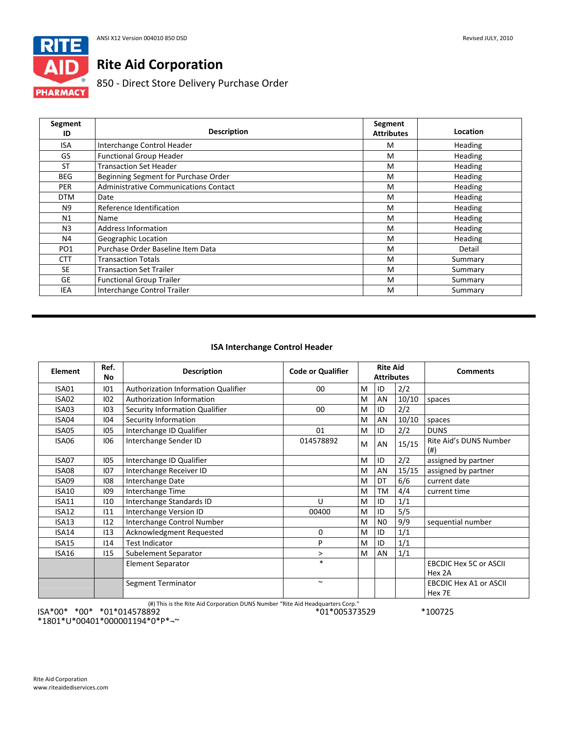

# **Rite Aid Corporation**

850 ‐ Direct Store Delivery Purchase Order

| Segment<br>ID   | <b>Description</b>                    | Segment<br><b>Attributes</b> | Location       |
|-----------------|---------------------------------------|------------------------------|----------------|
| <b>ISA</b>      | Interchange Control Header            | M                            | <b>Heading</b> |
| GS              | <b>Functional Group Header</b>        | M                            | Heading        |
| <b>ST</b>       | <b>Transaction Set Header</b>         | M                            | Heading        |
| <b>BEG</b>      | Beginning Segment for Purchase Order  | M                            | Heading        |
| <b>PER</b>      | Administrative Communications Contact | M                            | Heading        |
| <b>DTM</b>      | Date                                  | M                            | Heading        |
| N9              | Reference Identification              | M                            | Heading        |
| N1              | Name                                  | M                            | Heading        |
| N3              | <b>Address Information</b>            | M                            | Heading        |
| N4              | Geographic Location                   | M                            | Heading        |
| PO <sub>1</sub> | Purchase Order Baseline Item Data     | M                            | Detail         |
| <b>CTT</b>      | <b>Transaction Totals</b>             | M                            | Summary        |
| <b>SE</b>       | <b>Transaction Set Trailer</b>        | M                            | Summary        |
| GE              | <b>Functional Group Trailer</b>       | M                            | Summary        |
| IEA             | Interchange Control Trailer           | M                            | Summary        |

# **ISA Interchange Control Header**

| Element      | Ref.<br>No | <b>Description</b>                  | <b>Code or Qualifier</b> |   | <b>Rite Aid</b><br><b>Attributes</b> |       | <b>Comments</b>                         |
|--------------|------------|-------------------------------------|--------------------------|---|--------------------------------------|-------|-----------------------------------------|
| ISA01        | 101        | Authorization Information Qualifier | 00                       | M | ID                                   | 2/2   |                                         |
| ISA02        | 102        | Authorization Information           |                          | M | AN                                   | 10/10 | spaces                                  |
| ISA03        | 103        | Security Information Qualifier      | $00\,$                   | M | ID                                   | 2/2   |                                         |
| ISA04        | 104        | Security Information                |                          | M | AN                                   | 10/10 | spaces                                  |
| ISA05        | 105        | Interchange ID Qualifier            | 01                       | M | ID                                   | 2/2   | <b>DUNS</b>                             |
| ISA06        | 106        | Interchange Sender ID               | 014578892                | M | AN                                   | 15/15 | Rite Aid's DUNS Number<br>(# )          |
| ISA07        | 105        | Interchange ID Qualifier            |                          | M | ID                                   | 2/2   | assigned by partner                     |
| ISA08        | 107        | Interchange Receiver ID             |                          | M | AN                                   | 15/15 | assigned by partner                     |
| ISA09        | 108        | Interchange Date                    |                          | M | DT                                   | 6/6   | current date                            |
| <b>ISA10</b> | 109        | Interchange Time                    |                          | M | <b>TM</b>                            | 4/4   | current time                            |
| ISA11        | 110        | Interchange Standards ID            | U                        | M | ID                                   | 1/1   |                                         |
| ISA12        | 111        | Interchange Version ID              | 00400                    | M | ID                                   | 5/5   |                                         |
| ISA13        | 112        | Interchange Control Number          |                          | M | N <sub>0</sub>                       | 9/9   | sequential number                       |
| ISA14        | 113        | Acknowledgment Requested            | 0                        | M | ID                                   | 1/1   |                                         |
| <b>ISA15</b> | 114        | <b>Test Indicator</b>               | P                        | M | ID                                   | 1/1   |                                         |
| ISA16        | 115        | Subelement Separator                | >                        | M | AN                                   | 1/1   |                                         |
|              |            | <b>Element Separator</b>            | $\ast$                   |   |                                      |       | <b>EBCDIC Hex 5C or ASCII</b><br>Hex 2A |
|              |            | Segment Terminator                  | $\sim$                   |   |                                      |       | <b>EBCDIC Hex A1 or ASCII</b><br>Hex 7E |

(#) This is the Rite Aid Corporation DUNS Number "Rite Aid Headquarters Corp."

\*01\*005373529 \*100725

ISA\*00\* \*00\* \*01\*014578892 \*1801\*U\*00401\*000001194\*0\*P\*¬~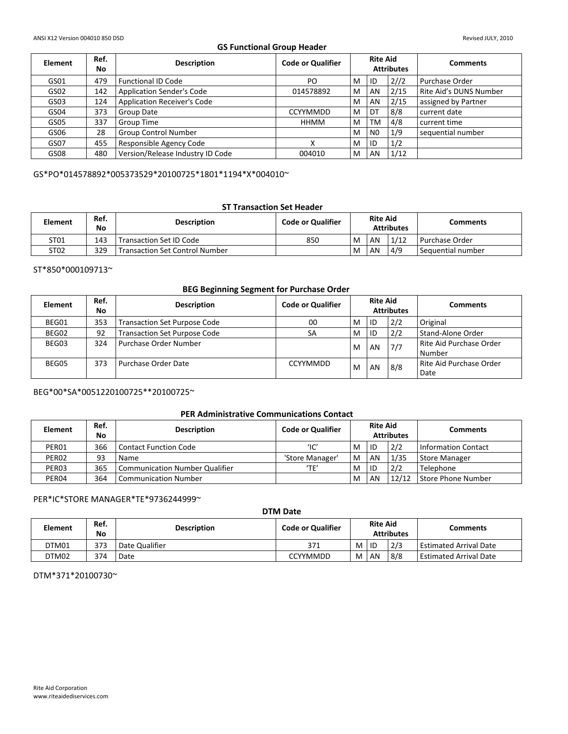# **GS Functional Group Header**

| <b>Element</b> | Ref.<br>No | <b>Description</b>                 | <b>Code or Qualifier</b> | <b>Rite Aid</b><br><b>Attributes</b> |                |      | <b>Comments</b>        |
|----------------|------------|------------------------------------|--------------------------|--------------------------------------|----------------|------|------------------------|
| GS01           | 479        | <b>Functional ID Code</b>          | PO                       | M                                    | ID             | 2//2 | Purchase Order         |
| GS02           | 142        | <b>Application Sender's Code</b>   | 014578892                | M                                    | AN             | 2/15 | Rite Aid's DUNS Number |
| GS03           | 124        | <b>Application Receiver's Code</b> |                          | M                                    | AN             | 2/15 | assigned by Partner    |
| GS04           | 373        | Group Date                         | <b>CCYYMMDD</b>          | M                                    | DT             | 8/8  | current date           |
| GS05           | 337        | Group Time                         | HHMM                     | M                                    | TM             | 4/8  | current time           |
| GS06           | 28         | <b>Group Control Number</b>        |                          | M                                    | N <sub>0</sub> | 1/9  | sequential number      |
| GS07           | 455        | Responsible Agency Code            | $\checkmark$             | M                                    | ID             | 1/2  |                        |
| GS08           | 480        | Version/Release Industry ID Code   | 004010                   | M                                    | AN             | 1/12 |                        |

GS\*PO\*014578892\*005373529\*20100725\*1801\*1194\*X\*004010~

# **ST Transaction Set Header**

| <b>Element</b>   | Ref.<br>No | <b>Description</b>                    | <b>Code or Qualifier</b> | <b>Rite Aid</b><br><b>Attributes</b> |    |      | <b>Comments</b>     |
|------------------|------------|---------------------------------------|--------------------------|--------------------------------------|----|------|---------------------|
| ST <sub>01</sub> | 143        | <b>Transaction Set ID Code</b>        | 850                      | M                                    | AN | 1/12 | l Purchase Order    |
| ST02             | 329        | <b>Transaction Set Control Number</b> |                          | M                                    | AN | 4/9  | I Sequential number |

ST\*850\*000109713~

# **BEG Beginning Segment for Purchase Order**

| <b>Element</b> | Ref.<br>No | <b>Description</b>                  | <b>Code or Qualifier</b> | <b>Rite Aid</b><br><b>Attributes</b> |      |     | <b>Comments</b>                   |
|----------------|------------|-------------------------------------|--------------------------|--------------------------------------|------|-----|-----------------------------------|
| BEG01          | 353        | <b>Transaction Set Purpose Code</b> | 00                       | M                                    | l ID | 2/2 | Original                          |
| BEG02          | 92         | <b>Transaction Set Purpose Code</b> | SA                       | M                                    | ID   | 2/2 | Stand-Alone Order                 |
| BEG03          | 324        | Purchase Order Number               |                          | M                                    | AN   | 7/7 | Rite Aid Purchase Order<br>Number |
| BEG05          | 373        | Purchase Order Date                 | <b>CCYYMMDD</b>          | M                                    | AN   | 8/8 | Rite Aid Purchase Order<br>Date   |

# BEG\*00\*SA\*0051220100725\*\*20100725~

#### **PER Administrative Communications Contact**

| <b>Element</b>    | Ref.<br>No | <b>Description</b>             | <b>Code or Qualifier</b>   | <b>Rite Aid</b><br><b>Attributes</b> |    |       | <b>Comments</b>            |
|-------------------|------------|--------------------------------|----------------------------|--------------------------------------|----|-------|----------------------------|
| PER01             | 366        | l Contact Function Code        | $^{\prime}$ IC $^{\prime}$ | M                                    | ID | 2/2   | <b>Information Contact</b> |
| PER <sub>02</sub> | 93         | Name                           | 'Store Manager'            | M                                    | AN | 1/35  | <b>Store Manager</b>       |
| PER03             | 365        | Communication Number Qualifier | 'TF'                       | M                                    | ID | 2/2   | Telephone                  |
| PER <sub>04</sub> | 364        | l Communication Number         |                            | M                                    | AN | 12/12 | Store Phone Number         |

#### PER\*IC\*STORE MANAGER\*TE\*9736244999~

| DTM Date       |            |                    |                          |   |                                      |     |                               |  |  |
|----------------|------------|--------------------|--------------------------|---|--------------------------------------|-----|-------------------------------|--|--|
| <b>Element</b> | Ref.<br>No | <b>Description</b> | <b>Code or Qualifier</b> |   | <b>Rite Aid</b><br><b>Attributes</b> |     | <b>Comments</b>               |  |  |
| DTM01          | 373        | Date Qualifier     | 371                      | M | ID                                   | 2/3 | <b>Estimated Arrival Date</b> |  |  |
| DTM02          | 374        | Date               | <b>CCYYMMDD</b>          | M | AN                                   | 8/8 | <b>Estimated Arrival Date</b> |  |  |

DTM\*371\*20100730~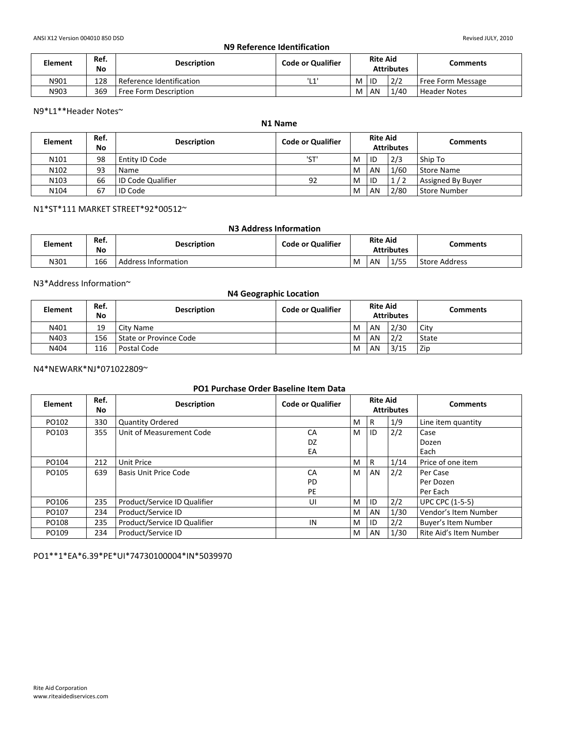# **N9 Reference Identification**

| <b>Element</b> | Ref.<br>No | <b>Description</b>       | <b>Code or Qualifier</b> | <b>Rite Aid</b><br><b>Attributes</b> |           |      | Comments            |
|----------------|------------|--------------------------|--------------------------|--------------------------------------|-----------|------|---------------------|
| N901           | 128        | Reference Identification | 11.41<br>--              | M                                    | <b>ID</b> | 2/2  | Free Form Message   |
| N903           | 369        | Free Form Description    |                          | M                                    | AN        | 1/40 | <b>Header Notes</b> |

#### N9\*L1\*\*Header Notes~

# **N1 Name**

| <b>Element</b>   | Ref.<br>No | <b>Description</b>  | <b>Code or Qualifier</b> | <b>Rite Aid</b><br><b>Attributes</b> |    |      | <b>Comments</b>   |
|------------------|------------|---------------------|--------------------------|--------------------------------------|----|------|-------------------|
| N <sub>101</sub> | 98         | Entity ID Code      | 'ST'                     | M                                    | ID | 2/3  | Ship To           |
| N102             | 93         | Name                |                          | M                                    | AN | 1/60 | Store Name        |
| N103             | 66         | I ID Code Qualifier | 92                       | M                                    | ID | 1/2  | Assigned By Buyer |
| N <sub>104</sub> | 67         | <b>ID Code</b>      |                          | M                                    | AN | 2/80 | Store Number      |

# N1\*ST\*111 MARKET STREET\*92\*00512~

#### **N3 Address Information**

| <b>Element</b> | Ref.<br>No | <b>Description</b>  | <b>Code or Qualifier</b> | <b>Rite Aid</b><br><b>Attributes</b> |           |      | Comments      |
|----------------|------------|---------------------|--------------------------|--------------------------------------|-----------|------|---------------|
| N301           | 166        | Address Information |                          | M                                    | <b>AN</b> | ./55 | Store Address |

# N3\*Address Information~

| <b>N4 Geographic Location</b> |            |                        |                          |   |                 |                   |                 |  |  |  |
|-------------------------------|------------|------------------------|--------------------------|---|-----------------|-------------------|-----------------|--|--|--|
| <b>Element</b>                | Ref.<br>No | <b>Description</b>     | <b>Code or Qualifier</b> |   | <b>Rite Aid</b> | <b>Attributes</b> | <b>Comments</b> |  |  |  |
| N401                          | 19         | City Name              |                          | M | AN              | 2/30              | City            |  |  |  |
| N403                          | 156        | State or Province Code |                          | M | AN              | 2/2               | State           |  |  |  |
| N404                          | 116        | Postal Code            |                          | M | AN              | 3/15              | Zip             |  |  |  |

#### N4\*NEWARK\*NJ\*071022809~

## **PO1 Purchase Order Baseline Item Data**

| <b>Element</b> | Ref.<br>No. | <b>Description</b>           | <b>Code or Qualifier</b> | <b>Rite Aid</b><br><b>Attributes</b> |    |      | <b>Comments</b>            |
|----------------|-------------|------------------------------|--------------------------|--------------------------------------|----|------|----------------------------|
| PO102          | 330         | <b>Quantity Ordered</b>      |                          | M                                    | R  | 1/9  | Line item quantity         |
| PO103          | 355         | Unit of Measurement Code     | CA                       | M                                    | ID | 2/2  | Case                       |
|                |             |                              | DZ                       |                                      |    |      | Dozen                      |
|                |             |                              | EA                       |                                      |    |      | Each                       |
| PO104          | 212         | Unit Price                   |                          | M                                    | R  | 1/14 | Price of one item          |
| PO105          | 639         | Basis Unit Price Code        | CA                       | M                                    | AN | 2/2  | Per Case                   |
|                |             |                              | PD                       |                                      |    |      | Per Dozen                  |
|                |             |                              | PE                       |                                      |    |      | Per Each                   |
| PO106          | 235         | Product/Service ID Qualifier | UI                       | M                                    | ID | 2/2  | <b>UPC CPC (1-5-5)</b>     |
| PO107          | 234         | Product/Service ID           |                          | M                                    | AN | 1/30 | Vendor's Item Number       |
| PO108          | 235         | Product/Service ID Qualifier | IN                       | M                                    | ID | 2/2  | <b>Buyer's Item Number</b> |
| PO109          | 234         | Product/Service ID           |                          | M                                    | AN | 1/30 | Rite Aid's Item Number     |

PO1\*\*1\*EA\*6.39\*PE\*UI\*74730100004\*IN\*5039970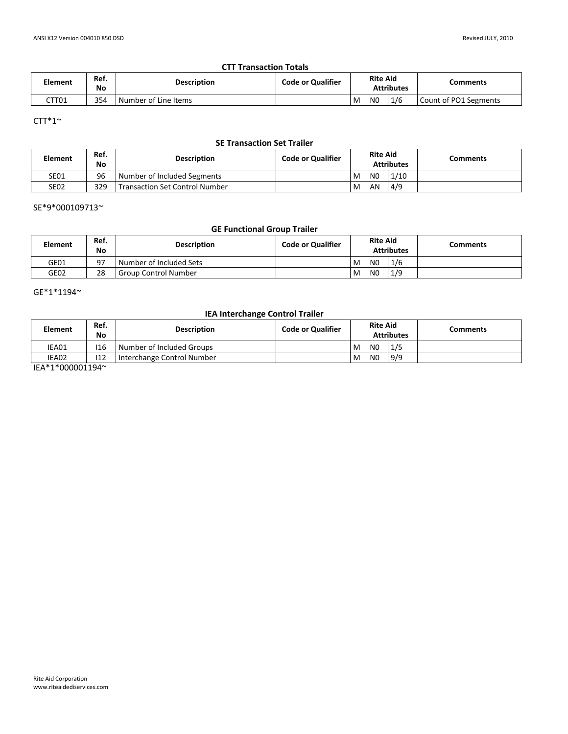## **CTT Transaction Totals**

| Element | Ref.<br>No | <b>Description</b>     | <b>Code or Qualifier</b> | <b>Rite Aid</b><br><b>Attributes</b> |    |     | Comments              |
|---------|------------|------------------------|--------------------------|--------------------------------------|----|-----|-----------------------|
| CTT01   | 354        | l Number of Line Items |                          | M                                    | N0 | 1/6 | Count of PO1 Segments |

# CTT\*1 $\sim$

# **SE Transaction Set Trailer**

| <b>Element</b> | Ref.<br>No | <b>Description</b>             | <b>Code or Qualifier</b> | <b>Rite Aid</b><br><b>Attributes</b> |                |      | Comments |
|----------------|------------|--------------------------------|--------------------------|--------------------------------------|----------------|------|----------|
| <b>SE01</b>    | 96         | Number of Included Segments    |                          | M                                    | N <sub>0</sub> | 1/10 |          |
| <b>SE02</b>    | 329        | Transaction Set Control Number |                          | M                                    | AN             | 4/9  |          |

#### SE\*9\*000109713~

# **GE Functional Group Trailer**

| <b>Element</b> | Ref.<br>No | <b>Description</b>      | <b>Code or Qualifier</b> | <b>Rite Aid</b><br><b>Attributes</b> |                |     | Comments |
|----------------|------------|-------------------------|--------------------------|--------------------------------------|----------------|-----|----------|
| GE01           | Q7         | Number of Included Sets |                          | M                                    | N <sub>0</sub> | 1/6 |          |
| GE02           | 28         | l Group Control Number  |                          | M                                    | N <sub>0</sub> | 1/9 |          |

 $GE*1*1194`$ 

# **IEA Interchange Control Trailer**

| <b>Element</b>            | Ref.<br>No | <b>Description</b>           | <b>Code or Qualifier</b> | <b>Rite Aid</b><br><b>Attributes</b> |                |     | Comments |
|---------------------------|------------|------------------------------|--------------------------|--------------------------------------|----------------|-----|----------|
| IEA01                     | 116        | Number of Included Groups    |                          | M                                    | N <sub>0</sub> | 1/5 |          |
| IEA02                     | 112        | I Interchange Control Number |                          | M                                    | N <sub>0</sub> | 9/9 |          |
| $IFA$ * $4$ * $000001404$ |            |                              |                          |                                      |                |     |          |

IEA\*1\*000001194~